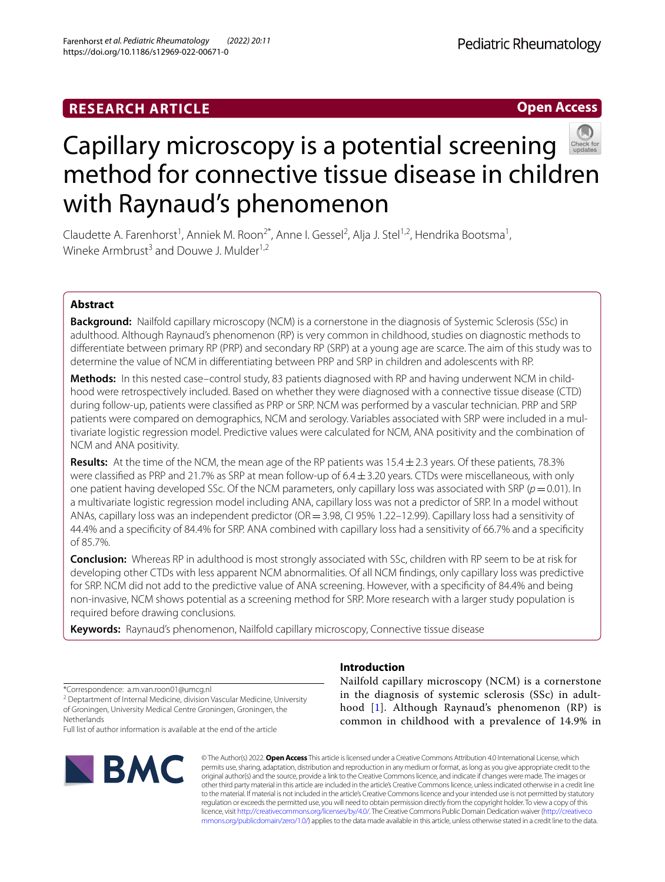# **RESEARCH ARTICLE**

**Open Access**



# Capillary microscopy is a potential screening method for connective tissue disease in children with Raynaud's phenomenon

Claudette A. Farenhorst<sup>1</sup>, Anniek M. Roon<sup>2\*</sup>, Anne I. Gessel<sup>2</sup>, Alja J. Stel<sup>1,2</sup>, Hendrika Bootsma<sup>1</sup>, Wineke Armbrust<sup>3</sup> and Douwe J. Mulder<sup>1,2</sup>

# **Abstract**

**Background:** Nailfold capillary microscopy (NCM) is a cornerstone in the diagnosis of Systemic Sclerosis (SSc) in adulthood. Although Raynaud's phenomenon (RP) is very common in childhood, studies on diagnostic methods to diferentiate between primary RP (PRP) and secondary RP (SRP) at a young age are scarce. The aim of this study was to determine the value of NCM in diferentiating between PRP and SRP in children and adolescents with RP.

**Methods:** In this nested case–control study, 83 patients diagnosed with RP and having underwent NCM in childhood were retrospectively included. Based on whether they were diagnosed with a connective tissue disease (CTD) during follow-up, patients were classifed as PRP or SRP. NCM was performed by a vascular technician. PRP and SRP patients were compared on demographics, NCM and serology. Variables associated with SRP were included in a multivariate logistic regression model. Predictive values were calculated for NCM, ANA positivity and the combination of NCM and ANA positivity.

**Results:** At the time of the NCM, the mean age of the RP patients was  $15.4 \pm 2.3$  years. Of these patients, 78.3% were classified as PRP and 21.7% as SRP at mean follow-up of  $6.4 \pm 3.20$  years. CTDs were miscellaneous, with only one patient having developed SSc. Of the NCM parameters, only capillary loss was associated with SRP ( $p=0.01$ ). In a multivariate logistic regression model including ANA, capillary loss was not a predictor of SRP. In a model without ANAs, capillary loss was an independent predictor (OR = 3.98, CI 95% 1.22–12.99). Capillary loss had a sensitivity of 44.4% and a specifcity of 84.4% for SRP. ANA combined with capillary loss had a sensitivity of 66.7% and a specifcity of 85.7%.

**Conclusion:** Whereas RP in adulthood is most strongly associated with SSc, children with RP seem to be at risk for developing other CTDs with less apparent NCM abnormalities. Of all NCM fndings, only capillary loss was predictive for SRP. NCM did not add to the predictive value of ANA screening. However, with a specifcity of 84.4% and being non-invasive, NCM shows potential as a screening method for SRP. More research with a larger study population is required before drawing conclusions.

**Keywords:** Raynaud's phenomenon, Nailfold capillary microscopy, Connective tissue disease

\*Correspondence: a.m.van.roon01@umcg.nl

<sup>2</sup> Deptartment of Internal Medicine, division Vascular Medicine, University of Groningen, University Medical Centre Groningen, Groningen, the **Netherlands** 

Full list of author information is available at the end of the article



# **Introduction**

Nailfold capillary microscopy (NCM) is a cornerstone in the diagnosis of systemic sclerosis (SSc) in adulthood [[1\]](#page-8-0). Although Raynaud's phenomenon (RP) is common in childhood with a prevalence of 14.9% in

© The Author(s) 2022. **Open Access** This article is licensed under a Creative Commons Attribution 4.0 International License, which permits use, sharing, adaptation, distribution and reproduction in any medium or format, as long as you give appropriate credit to the original author(s) and the source, provide a link to the Creative Commons licence, and indicate if changes were made. The images or other third party material in this article are included in the article's Creative Commons licence, unless indicated otherwise in a credit line to the material. If material is not included in the article's Creative Commons licence and your intended use is not permitted by statutory regulation or exceeds the permitted use, you will need to obtain permission directly from the copyright holder. To view a copy of this licence, visit [http://creativecommons.org/licenses/by/4.0/.](http://creativecommons.org/licenses/by/4.0/) The Creative Commons Public Domain Dedication waiver ([http://creativeco](http://creativecommons.org/publicdomain/zero/1.0/) [mmons.org/publicdomain/zero/1.0/](http://creativecommons.org/publicdomain/zero/1.0/)) applies to the data made available in this article, unless otherwise stated in a credit line to the data.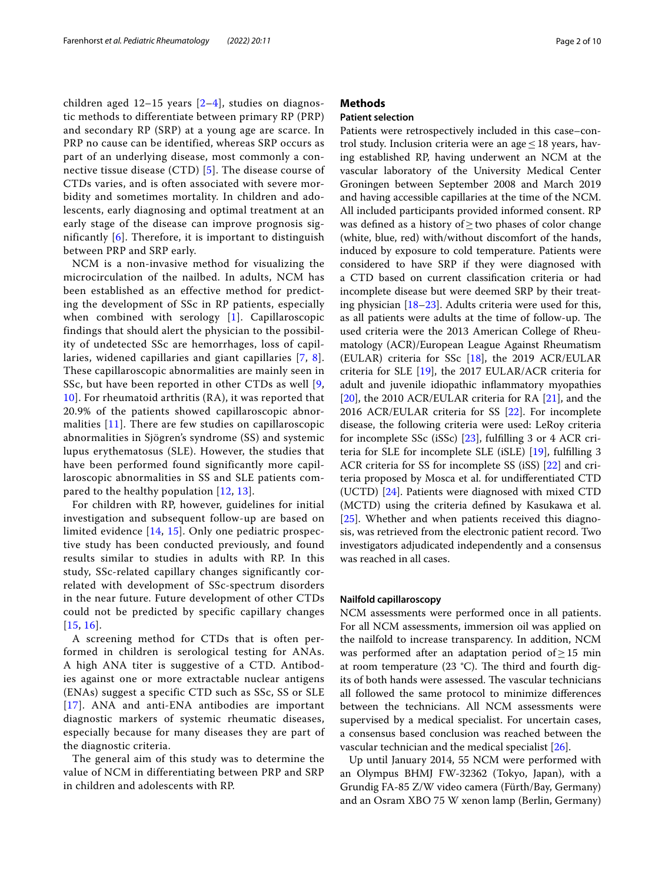children aged  $12-15$  years  $[2-4]$  $[2-4]$ , studies on diagnostic methods to differentiate between primary RP (PRP) and secondary RP (SRP) at a young age are scarce. In PRP no cause can be identified, whereas SRP occurs as part of an underlying disease, most commonly a connective tissue disease (CTD) [[5](#page-8-3)]. The disease course of CTDs varies, and is often associated with severe morbidity and sometimes mortality. In children and adolescents, early diagnosing and optimal treatment at an early stage of the disease can improve prognosis significantly [[6\]](#page-8-4). Therefore, it is important to distinguish between PRP and SRP early.

NCM is a non-invasive method for visualizing the microcirculation of the nailbed. In adults, NCM has been established as an effective method for predicting the development of SSc in RP patients, especially when combined with serology [[1](#page-8-0)]. Capillaroscopic findings that should alert the physician to the possibility of undetected SSc are hemorrhages, loss of capillaries, widened capillaries and giant capillaries [\[7,](#page-8-5) [8\]](#page-8-6). These capillaroscopic abnormalities are mainly seen in SSc, but have been reported in other CTDs as well [\[9](#page-8-7), [10\]](#page-8-8). For rheumatoid arthritis (RA), it was reported that 20.9% of the patients showed capillaroscopic abnormalities [[11](#page-8-9)]. There are few studies on capillaroscopic abnormalities in Sjögren's syndrome (SS) and systemic lupus erythematosus (SLE). However, the studies that have been performed found significantly more capillaroscopic abnormalities in SS and SLE patients compared to the healthy population [[12](#page-8-10), [13\]](#page-8-11).

For children with RP, however, guidelines for initial investigation and subsequent follow-up are based on limited evidence [\[14](#page-8-12), [15](#page-8-13)]. Only one pediatric prospective study has been conducted previously, and found results similar to studies in adults with RP. In this study, SSc-related capillary changes significantly correlated with development of SSc-spectrum disorders in the near future. Future development of other CTDs could not be predicted by specific capillary changes [[15](#page-8-13), [16](#page-8-14)].

A screening method for CTDs that is often performed in children is serological testing for ANAs. A high ANA titer is suggestive of a CTD. Antibodies against one or more extractable nuclear antigens (ENAs) suggest a specific CTD such as SSc, SS or SLE [[17](#page-8-15)]. ANA and anti-ENA antibodies are important diagnostic markers of systemic rheumatic diseases, especially because for many diseases they are part of the diagnostic criteria.

The general aim of this study was to determine the value of NCM in differentiating between PRP and SRP in children and adolescents with RP.

# **Methods**

# **Patient selection**

Patients were retrospectively included in this case–control study. Inclusion criteria were an age≤18 years, having established RP, having underwent an NCM at the vascular laboratory of the University Medical Center Groningen between September 2008 and March 2019 and having accessible capillaries at the time of the NCM. All included participants provided informed consent. RP was defned as a history of≥two phases of color change (white, blue, red) with/without discomfort of the hands, induced by exposure to cold temperature. Patients were considered to have SRP if they were diagnosed with a CTD based on current classifcation criteria or had incomplete disease but were deemed SRP by their treating physician [\[18](#page-8-16)–[23\]](#page-8-17). Adults criteria were used for this, as all patients were adults at the time of follow-up. The used criteria were the 2013 American College of Rheumatology (ACR)/European League Against Rheumatism (EULAR) criteria for SSc [\[18\]](#page-8-16), the 2019 ACR/EULAR criteria for SLE [\[19](#page-8-18)], the 2017 EULAR/ACR criteria for adult and juvenile idiopathic infammatory myopathies [[20\]](#page-8-19), the 2010 ACR/EULAR criteria for RA [\[21](#page-8-20)], and the 2016 ACR/EULAR criteria for SS [\[22](#page-8-21)]. For incomplete disease, the following criteria were used: LeRoy criteria for incomplete SSc (iSSc) [\[23](#page-8-17)], fulflling 3 or 4 ACR criteria for SLE for incomplete SLE (iSLE) [\[19](#page-8-18)], fulflling 3 ACR criteria for SS for incomplete SS (iSS) [[22\]](#page-8-21) and criteria proposed by Mosca et al. for undiferentiated CTD (UCTD) [[24](#page-8-22)]. Patients were diagnosed with mixed CTD (MCTD) using the criteria defned by Kasukawa et al. [[25\]](#page-8-23). Whether and when patients received this diagnosis, was retrieved from the electronic patient record. Two investigators adjudicated independently and a consensus was reached in all cases.

# **Nailfold capillaroscopy**

NCM assessments were performed once in all patients. For all NCM assessments, immersion oil was applied on the nailfold to increase transparency. In addition, NCM was performed after an adaptation period of≥15 min at room temperature  $(23 \text{ }^{\circ}C)$ . The third and fourth digits of both hands were assessed. The vascular technicians all followed the same protocol to minimize diferences between the technicians. All NCM assessments were supervised by a medical specialist. For uncertain cases, a consensus based conclusion was reached between the vascular technician and the medical specialist [\[26](#page-8-24)].

Up until January 2014, 55 NCM were performed with an Olympus BHMJ FW-32362 (Tokyo, Japan), with a Grundig FA-85 Z/W video camera (Fürth/Bay, Germany) and an Osram XBO 75 W xenon lamp (Berlin, Germany)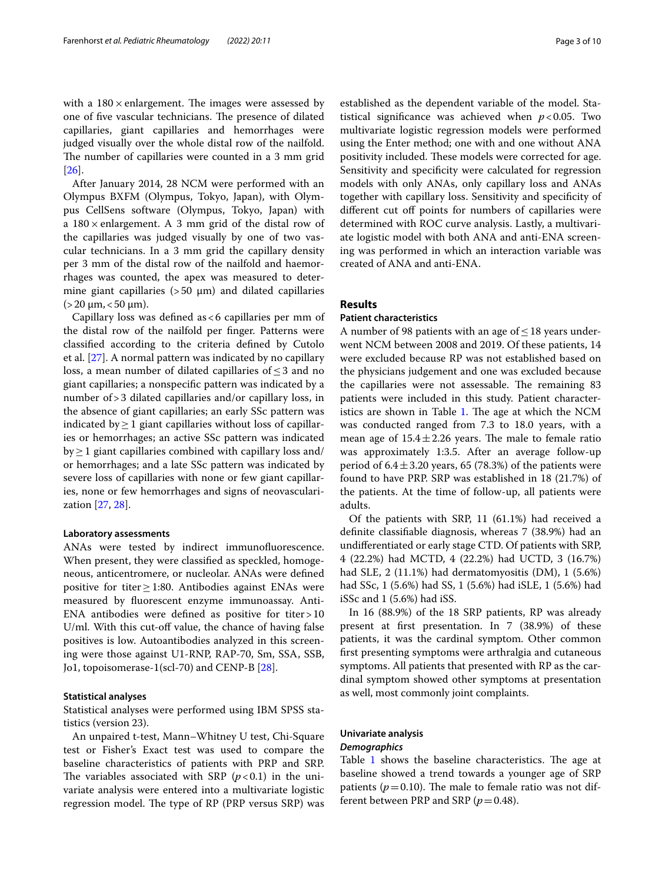with a  $180 \times$  enlargement. The images were assessed by one of five vascular technicians. The presence of dilated capillaries, giant capillaries and hemorrhages were judged visually over the whole distal row of the nailfold. The number of capillaries were counted in a 3 mm grid [[26\]](#page-8-24).

After January 2014, 28 NCM were performed with an Olympus BXFM (Olympus, Tokyo, Japan), with Olympus CellSens software (Olympus, Tokyo, Japan) with a 180×enlargement. A 3 mm grid of the distal row of the capillaries was judged visually by one of two vascular technicians. In a 3 mm grid the capillary density per 3 mm of the distal row of the nailfold and haemorrhages was counted, the apex was measured to determine giant capillaries ( $>50 \mu m$ ) and dilated capillaries  $(>20 \mu m, < 50 \mu m)$ .

Capillary loss was defined as  $< 6$  capillaries per mm of the distal row of the nailfold per fnger. Patterns were classifed according to the criteria defned by Cutolo et al. [[27](#page-8-25)]. A normal pattern was indicated by no capillary loss, a mean number of dilated capillaries of ≤3 and no giant capillaries; a nonspecifc pattern was indicated by a number of>3 dilated capillaries and/or capillary loss, in the absence of giant capillaries; an early SSc pattern was indicated by  $\geq$  1 giant capillaries without loss of capillaries or hemorrhages; an active SSc pattern was indicated  $by \geq 1$  giant capillaries combined with capillary loss and/ or hemorrhages; and a late SSc pattern was indicated by severe loss of capillaries with none or few giant capillaries, none or few hemorrhages and signs of neovascularization [[27](#page-8-25), [28\]](#page-8-26).

# **Laboratory assessments**

ANAs were tested by indirect immunofuorescence. When present, they were classifed as speckled, homogeneous, anticentromere, or nucleolar. ANAs were defned positive for titer≥1:80. Antibodies against ENAs were measured by fuorescent enzyme immunoassay. Anti-ENA antibodies were defined as positive for titer  $>10$ U/ml. With this cut-off value, the chance of having false positives is low. Autoantibodies analyzed in this screening were those against U1-RNP, RAP-70, Sm, SSA, SSB, Jo1, topoisomerase-1(scl-70) and CENP-B [[28\]](#page-8-26).

# **Statistical analyses**

Statistical analyses were performed using IBM SPSS statistics (version 23).

An unpaired t-test, Mann–Whitney U test, Chi-Square test or Fisher's Exact test was used to compare the baseline characteristics of patients with PRP and SRP. The variables associated with SRP  $(p<0.1)$  in the univariate analysis were entered into a multivariate logistic regression model. The type of RP (PRP versus SRP) was established as the dependent variable of the model. Statistical significance was achieved when  $p < 0.05$ . Two multivariate logistic regression models were performed using the Enter method; one with and one without ANA positivity included. These models were corrected for age. Sensitivity and specifcity were calculated for regression models with only ANAs, only capillary loss and ANAs together with capillary loss. Sensitivity and specifcity of different cut off points for numbers of capillaries were determined with ROC curve analysis. Lastly, a multivariate logistic model with both ANA and anti-ENA screening was performed in which an interaction variable was created of ANA and anti-ENA.

# **Results**

# **Patient characteristics**

A number of 98 patients with an age of  $\leq$  18 years underwent NCM between 2008 and 2019. Of these patients, 14 were excluded because RP was not established based on the physicians judgement and one was excluded because the capillaries were not assessable. The remaining 83 patients were included in this study. Patient character-istics are shown in Table [1](#page-3-0). The age at which the NCM was conducted ranged from 7.3 to 18.0 years, with a mean age of  $15.4 \pm 2.26$  years. The male to female ratio was approximately 1:3.5. After an average follow-up period of  $6.4 \pm 3.20$  years, 65 (78.3%) of the patients were found to have PRP. SRP was established in 18 (21.7%) of the patients. At the time of follow-up, all patients were adults.

Of the patients with SRP, 11 (61.1%) had received a defnite classifable diagnosis, whereas 7 (38.9%) had an undiferentiated or early stage CTD. Of patients with SRP, 4 (22.2%) had MCTD, 4 (22.2%) had UCTD, 3 (16.7%) had SLE, 2 (11.1%) had dermatomyositis (DM), 1 (5.6%) had SSc, 1 (5.6%) had SS, 1 (5.6%) had iSLE, 1 (5.6%) had iSSc and 1 (5.6%) had iSS.

In 16 (88.9%) of the 18 SRP patients, RP was already present at frst presentation. In 7 (38.9%) of these patients, it was the cardinal symptom. Other common frst presenting symptoms were arthralgia and cutaneous symptoms. All patients that presented with RP as the cardinal symptom showed other symptoms at presentation as well, most commonly joint complaints.

# **Univariate analysis**

# *Demographics*

Table  $1$  shows the baseline characteristics. The age at baseline showed a trend towards a younger age of SRP patients ( $p = 0.10$ ). The male to female ratio was not different between PRP and SRP ( $p = 0.48$ ).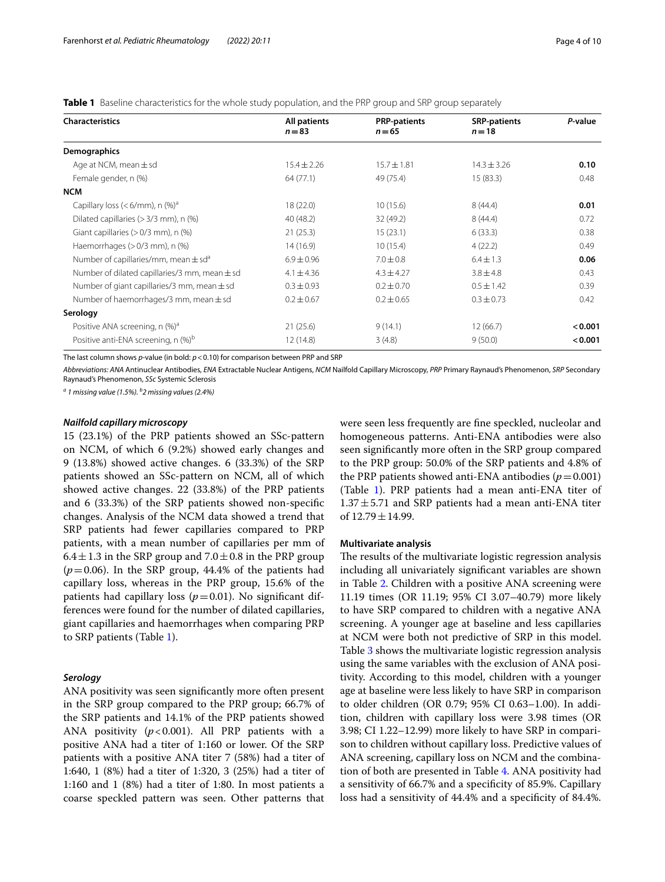<span id="page-3-0"></span>**Table 1** Baseline characteristics for the whole study population, and the PRP group and SRP group separately

| <b>Characteristics</b>                               | All patients<br>$n = 83$ | <b>PRP-patients</b><br>$n = 65$ | <b>SRP-patients</b><br>$n = 18$ | P-value |
|------------------------------------------------------|--------------------------|---------------------------------|---------------------------------|---------|
| <b>Demographics</b>                                  |                          |                                 |                                 |         |
| Age at NCM, mean $\pm$ sd                            | $15.4 \pm 2.26$          | $15.7 \pm 1.81$                 | $14.3 \pm 3.26$                 | 0.10    |
| Female gender, n (%)                                 | 64 (77.1)                | 49 (75.4)                       | 15(83.3)                        | 0.48    |
| <b>NCM</b>                                           |                          |                                 |                                 |         |
| Capillary loss ( $<$ 6/mm), n (%) <sup>a</sup>       | 18(22.0)                 | 10(15.6)                        | 8(44.4)                         | 0.01    |
| Dilated capillaries $(>3/3$ mm), n $(\%)$            | 40(48.2)                 | 32 (49.2)                       | 8(44.4)                         | 0.72    |
| Giant capillaries (> 0/3 mm), n (%)                  | 21(25.3)                 | 15(23.1)                        | 6(33.3)                         | 0.38    |
| Haemorrhages $(>0/3$ mm), n $(\%)$                   | 14(16.9)                 | 10(15.4)                        | 4(22.2)                         | 0.49    |
| Number of capillaries/mm, mean $\pm$ sd <sup>a</sup> | $6.9 \pm 0.96$           | $7.0 \pm 0.8$                   | $6.4 \pm 1.3$                   | 0.06    |
| Number of dilated capillaries/3 mm, mean $\pm$ sd    | $4.1 \pm 4.36$           | $4.3 \pm 4.27$                  | $3.8 \pm 4.8$                   | 0.43    |
| Number of giant capillaries/3 mm, mean $\pm$ sd      | $0.3 \pm 0.93$           | $0.2 \pm 0.70$                  | $0.5 \pm 1.42$                  | 0.39    |
| Number of haemorrhages/3 mm, mean $\pm$ sd           | $0.2 \pm 0.67$           | $0.2 \pm 0.65$                  | $0.3 \pm 0.73$                  | 0.42    |
| Serology                                             |                          |                                 |                                 |         |
| Positive ANA screening, n (%) <sup>a</sup>           | 21(25.6)                 | 9(14.1)                         | 12(66.7)                        | < 0.001 |
| Positive anti-ENA screening, n (%) <sup>b</sup>      | 12(14.8)                 | 3(4.8)                          | 9(50.0)                         | < 0.001 |

The last column shows *p*-value (in bold: *p*<0.10) for comparison between PRP and SRP

*Abbreviations: ANA* Antinuclear Antibodies, *ENA* Extractable Nuclear Antigens, *NCM* Nailfold Capillary Microscopy, *PRP* Primary Raynaud's Phenomenon, *SRP* Secondary Raynaud's Phenomenon, *SSc* Systemic Sclerosis

*<sup>a</sup> 1 missing value (1.5%). b 2 missing values (2.4%)*

# *Nailfold capillary microscopy*

15 (23.1%) of the PRP patients showed an SSc-pattern on NCM, of which 6 (9.2%) showed early changes and 9 (13.8%) showed active changes. 6 (33.3%) of the SRP patients showed an SSc-pattern on NCM, all of which showed active changes. 22 (33.8%) of the PRP patients and 6 (33.3%) of the SRP patients showed non-specifc changes. Analysis of the NCM data showed a trend that SRP patients had fewer capillaries compared to PRP patients, with a mean number of capillaries per mm of 6.4 $\pm$ 1.3 in the SRP group and 7.0 $\pm$ 0.8 in the PRP group  $(p=0.06)$ . In the SRP group, 44.4% of the patients had capillary loss, whereas in the PRP group, 15.6% of the patients had capillary loss  $(p=0.01)$ . No significant differences were found for the number of dilated capillaries, giant capillaries and haemorrhages when comparing PRP to SRP patients (Table [1](#page-3-0)).

# *Serology*

ANA positivity was seen signifcantly more often present in the SRP group compared to the PRP group; 66.7% of the SRP patients and 14.1% of the PRP patients showed ANA positivity (*p*<0.001). All PRP patients with a positive ANA had a titer of 1:160 or lower. Of the SRP patients with a positive ANA titer 7 (58%) had a titer of 1:640, 1 (8%) had a titer of 1:320, 3 (25%) had a titer of 1:160 and 1 (8%) had a titer of 1:80. In most patients a coarse speckled pattern was seen. Other patterns that were seen less frequently are fne speckled, nucleolar and homogeneous patterns. Anti-ENA antibodies were also seen signifcantly more often in the SRP group compared to the PRP group: 50.0% of the SRP patients and 4.8% of the PRP patients showed anti-ENA antibodies  $(p=0.001)$ (Table [1\)](#page-3-0). PRP patients had a mean anti-ENA titer of  $1.37 \pm 5.71$  and SRP patients had a mean anti-ENA titer of  $12.79 \pm 14.99$ .

# **Multivariate analysis**

The results of the multivariate logistic regression analysis including all univariately signifcant variables are shown in Table [2.](#page-4-0) Children with a positive ANA screening were 11.19 times (OR 11.19; 95% CI 3.07–40.79) more likely to have SRP compared to children with a negative ANA screening. A younger age at baseline and less capillaries at NCM were both not predictive of SRP in this model. Table [3](#page-4-1) shows the multivariate logistic regression analysis using the same variables with the exclusion of ANA positivity. According to this model, children with a younger age at baseline were less likely to have SRP in comparison to older children (OR 0.79; 95% CI 0.63–1.00). In addition, children with capillary loss were 3.98 times (OR 3.98; CI 1.22–12.99) more likely to have SRP in comparison to children without capillary loss. Predictive values of ANA screening, capillary loss on NCM and the combination of both are presented in Table [4](#page-4-2). ANA positivity had a sensitivity of 66.7% and a specifcity of 85.9%. Capillary loss had a sensitivity of 44.4% and a specifcity of 84.4%.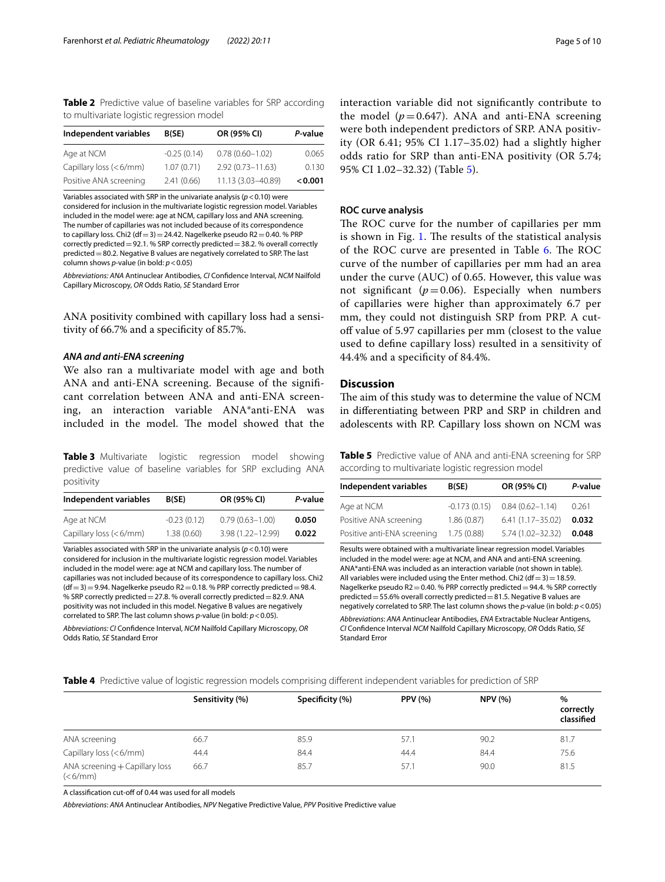<span id="page-4-0"></span>**Table 2** Predictive value of baseline variables for SRP according to multivariate logistic regression model

| Independent variables  | B(SE)         | OR (95% CI)          | P-value |
|------------------------|---------------|----------------------|---------|
| Age at NCM             | $-0.25(0.14)$ | $0.78(0.60 - 1.02)$  | 0.065   |
| Capillary loss (<6/mm) | 1.07(0.71)    | $2.92(0.73 - 11.63)$ | 0.130   |
| Positive ANA screening | 2.41(0.66)    | 11.13 (3.03-40.89)   | < 0.001 |

Variables associated with SRP in the univariate analysis (*p*<0.10) were considered for inclusion in the multivariate logistic regression model. Variables included in the model were: age at NCM, capillary loss and ANA screening. The number of capillaries was not included because of its correspondence to capillary loss. Chi2 (df=3)=24.42. Nagelkerke pseudo R2=0.40. % PRP correctly predicted=92.1. % SRP correctly predicted=38.2. % overall correctly predicted = 80.2. Negative B values are negatively correlated to SRP. The last column shows *p*-value (in bold: *p*<0.05)

*Abbreviations: ANA* Antinuclear Antibodies, *CI* Confdence Interval, *NCM* Nailfold Capillary Microscopy, *OR* Odds Ratio, *SE* Standard Error

ANA positivity combined with capillary loss had a sensitivity of 66.7% and a specifcity of 85.7%.

# *ANA and anti‑ENA screening*

We also ran a multivariate model with age and both ANA and anti-ENA screening. Because of the signifcant correlation between ANA and anti-ENA screening, an interaction variable ANA\*anti-ENA was included in the model. The model showed that the

<span id="page-4-1"></span>**Table 3** Multivariate logistic regression model showing predictive value of baseline variables for SRP excluding ANA positivity

| Independent variables   | B(SE)         | OR (95% CI)         | P-value |
|-------------------------|---------------|---------------------|---------|
| Age at NCM              | $-0.23(0.12)$ | $0.79(0.63 - 1.00)$ | 0.050   |
| Capillary loss $(6/mm)$ | 1.38(0.60)    | 3.98 (1.22-12.99)   | 0.022   |

Variables associated with SRP in the univariate analysis (*p*<0.10) were considered for inclusion in the multivariate logistic regression model. Variables included in the model were: age at NCM and capillary loss. The number of capillaries was not included because of its correspondence to capillary loss. Chi2  $(df=3)=9.94$ . Nagelkerke pseudo R2 = 0.18. % PRP correctly predicted = 98.4. % SRP correctly predicted = 27.8. % overall correctly predicted = 82.9. ANA positivity was not included in this model. Negative B values are negatively correlated to SRP. The last column shows *p*-value (in bold: *p*<0.05).

*Abbreviations: CI* Confdence Interval, *NCM* Nailfold Capillary Microscopy, *OR* Odds Ratio, *SE* Standard Error

interaction variable did not signifcantly contribute to the model  $(p=0.647)$ . ANA and anti-ENA screening were both independent predictors of SRP. ANA positivity (OR 6.41; 95% CI 1.17–35.02) had a slightly higher odds ratio for SRP than anti-ENA positivity (OR 5.74; 95% CI 1.02–32.32) (Table [5](#page-4-3)).

# **ROC curve analysis**

The ROC curve for the number of capillaries per mm is shown in Fig. [1.](#page-5-0) The results of the statistical analysis of the ROC curve are presented in Table [6](#page-5-1). The ROC curve of the number of capillaries per mm had an area under the curve (AUC) of 0.65. However, this value was not significant  $(p=0.06)$ . Especially when numbers of capillaries were higher than approximately 6.7 per mm, they could not distinguish SRP from PRP. A cutoff value of 5.97 capillaries per mm (closest to the value used to defne capillary loss) resulted in a sensitivity of 44.4% and a specifcity of 84.4%.

# **Discussion**

The aim of this study was to determine the value of NCM in diferentiating between PRP and SRP in children and adolescents with RP. Capillary loss shown on NCM was

<span id="page-4-3"></span>**Table 5** Predictive value of ANA and anti-ENA screening for SRP according to multivariate logistic regression model

| Independent variables       | B(SE)          | OR (95% CI)          | P-value |
|-----------------------------|----------------|----------------------|---------|
| Age at NCM                  | $-0.173(0.15)$ | $0.84(0.62 - 1.14)$  | 0.261   |
| Positive ANA screening      | 1.86(0.87)     | $6.41(1.17 - 35.02)$ | 0.032   |
| Positive anti-ENA screening | 1.75(0.88)     | $5.74(1.02 - 32.32)$ | 0.048   |

Results were obtained with a multivariate linear regression model. Variables included in the model were: age at NCM, and ANA and anti-ENA screening. ANA\*anti-ENA was included as an interaction variable (not shown in table). All variables were included using the Enter method. Chi2 (df=3)=18.59. Nagelkerke pseudo R2 = 0.40. % PRP correctly predicted = 94.4. % SRP correctly predicted=55.6% overall correctly predicted=81.5. Negative B values are negatively correlated to SRP. The last column shows the *p*-value (in bold: *p*<0.05)

*Abbreviations*: *ANA* Antinuclear Antibodies, *ENA* Extractable Nuclear Antigens, *CI* Confdence Interval *NCM* Nailfold Capillary Microscopy, *OR* Odds Ratio, *SE* Standard Error

<span id="page-4-2"></span>**Table 4** Predictive value of logistic regression models comprising diferent independent variables for prediction of SRP

|                                                     |                 |                 | <b>PPV (%)</b> | <b>NPV (%)</b> |                              |  |
|-----------------------------------------------------|-----------------|-----------------|----------------|----------------|------------------------------|--|
|                                                     | Sensitivity (%) | Specificity (%) |                |                | %<br>correctly<br>classified |  |
| ANA screening                                       | 66.7            | 85.9            | 57.1           | 90.2           | 81.7                         |  |
| Capillary loss (<6/mm)                              | 44.4            | 84.4            | 44.4           | 84.4           | 75.6                         |  |
| ANA screening + Capillary loss<br>$(<\frac{6}{mm})$ | 66.7            | 85.7            | 57.1           | 90.0           | 81.5                         |  |

A classification cut-off of 0.44 was used for all models

*Abbreviations*: *ANA* Antinuclear Antibodies, *NPV* Negative Predictive Value, *PPV* Positive Predictive value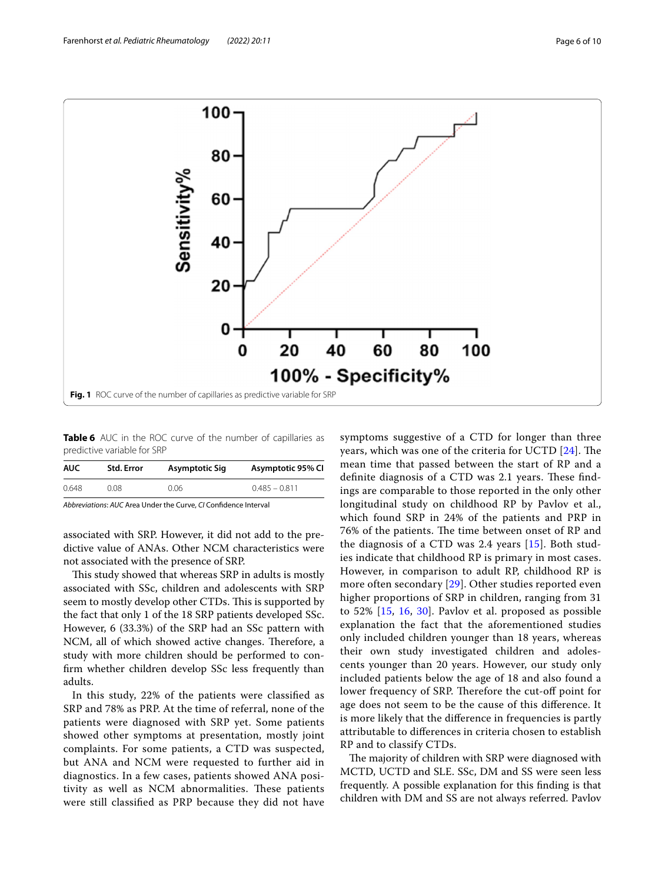

<span id="page-5-1"></span><span id="page-5-0"></span>**Table 6** AUC in the ROC curve of the number of capillaries as predictive variable for SRP

| <b>AUC</b> | Std. Error | Asymptotic Sig | Asymptotic 95% CI |
|------------|------------|----------------|-------------------|
| 0.648      | 0.08.      | 0.06           | $0.485 - 0.811$   |

*Abbreviations*: *AUC* Area Under the Curve, *CI* Confdence Interval

associated with SRP. However, it did not add to the predictive value of ANAs. Other NCM characteristics were not associated with the presence of SRP.

This study showed that whereas SRP in adults is mostly associated with SSc, children and adolescents with SRP seem to mostly develop other CTDs. This is supported by the fact that only 1 of the 18 SRP patients developed SSc. However, 6 (33.3%) of the SRP had an SSc pattern with NCM, all of which showed active changes. Therefore, a study with more children should be performed to confrm whether children develop SSc less frequently than adults.

In this study, 22% of the patients were classifed as SRP and 78% as PRP. At the time of referral, none of the patients were diagnosed with SRP yet. Some patients showed other symptoms at presentation, mostly joint complaints. For some patients, a CTD was suspected, but ANA and NCM were requested to further aid in diagnostics. In a few cases, patients showed ANA positivity as well as NCM abnormalities. These patients were still classifed as PRP because they did not have

symptoms suggestive of a CTD for longer than three years, which was one of the criteria for UCTD [[24\]](#page-8-22). The mean time that passed between the start of RP and a definite diagnosis of a CTD was 2.1 years. These findings are comparable to those reported in the only other longitudinal study on childhood RP by Pavlov et al., which found SRP in 24% of the patients and PRP in 76% of the patients. The time between onset of RP and the diagnosis of a CTD was 2.4 years [[15\]](#page-8-13). Both studies indicate that childhood RP is primary in most cases. However, in comparison to adult RP, childhood RP is more often secondary [\[29](#page-8-27)]. Other studies reported even higher proportions of SRP in children, ranging from 31 to 52% [[15](#page-8-13), [16](#page-8-14), [30\]](#page-8-28). Pavlov et al. proposed as possible explanation the fact that the aforementioned studies only included children younger than 18 years, whereas their own study investigated children and adolescents younger than 20 years. However, our study only included patients below the age of 18 and also found a lower frequency of SRP. Therefore the cut-off point for age does not seem to be the cause of this diference. It is more likely that the diference in frequencies is partly attributable to diferences in criteria chosen to establish RP and to classify CTDs.

The majority of children with SRP were diagnosed with MCTD, UCTD and SLE. SSc, DM and SS were seen less frequently. A possible explanation for this fnding is that children with DM and SS are not always referred. Pavlov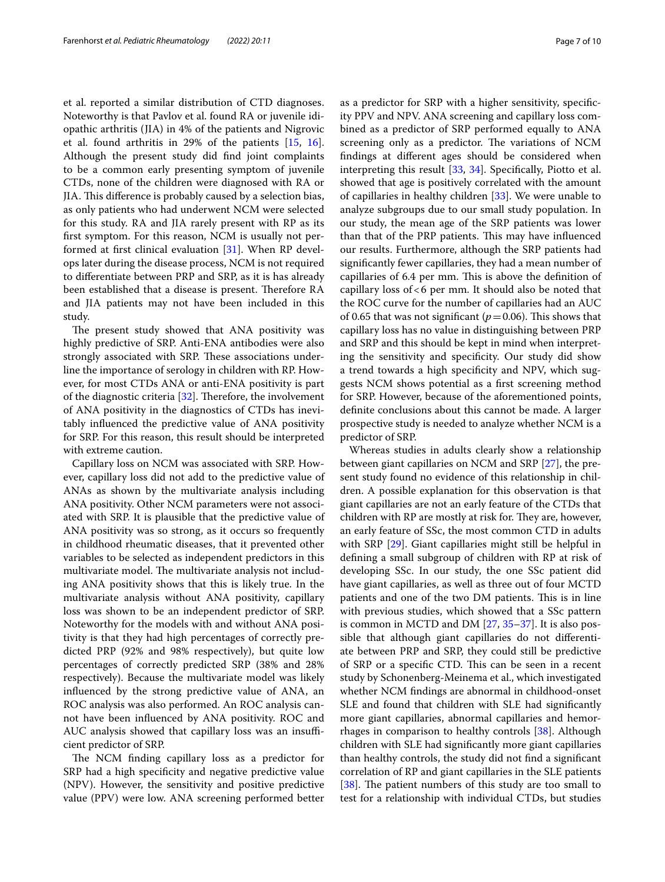et al. reported a similar distribution of CTD diagnoses. Noteworthy is that Pavlov et al. found RA or juvenile idiopathic arthritis (JIA) in 4% of the patients and Nigrovic et al. found arthritis in 29% of the patients [\[15](#page-8-13), [16](#page-8-14)]. Although the present study did fnd joint complaints to be a common early presenting symptom of juvenile CTDs, none of the children were diagnosed with RA or JIA. Tis diference is probably caused by a selection bias, as only patients who had underwent NCM were selected for this study. RA and JIA rarely present with RP as its frst symptom. For this reason, NCM is usually not performed at frst clinical evaluation [[31\]](#page-8-29). When RP develops later during the disease process, NCM is not required to diferentiate between PRP and SRP, as it is has already been established that a disease is present. Therefore RA and JIA patients may not have been included in this study.

The present study showed that ANA positivity was highly predictive of SRP. Anti-ENA antibodies were also strongly associated with SRP. These associations underline the importance of serology in children with RP. However, for most CTDs ANA or anti-ENA positivity is part of the diagnostic criteria  $[32]$  $[32]$ . Therefore, the involvement of ANA positivity in the diagnostics of CTDs has inevitably infuenced the predictive value of ANA positivity for SRP. For this reason, this result should be interpreted with extreme caution.

Capillary loss on NCM was associated with SRP. However, capillary loss did not add to the predictive value of ANAs as shown by the multivariate analysis including ANA positivity. Other NCM parameters were not associated with SRP. It is plausible that the predictive value of ANA positivity was so strong, as it occurs so frequently in childhood rheumatic diseases, that it prevented other variables to be selected as independent predictors in this multivariate model. The multivariate analysis not including ANA positivity shows that this is likely true. In the multivariate analysis without ANA positivity, capillary loss was shown to be an independent predictor of SRP. Noteworthy for the models with and without ANA positivity is that they had high percentages of correctly predicted PRP (92% and 98% respectively), but quite low percentages of correctly predicted SRP (38% and 28% respectively). Because the multivariate model was likely infuenced by the strong predictive value of ANA, an ROC analysis was also performed. An ROC analysis cannot have been infuenced by ANA positivity. ROC and AUC analysis showed that capillary loss was an insufficient predictor of SRP.

The NCM finding capillary loss as a predictor for SRP had a high specificity and negative predictive value (NPV). However, the sensitivity and positive predictive value (PPV) were low. ANA screening performed better

as a predictor for SRP with a higher sensitivity, specifcity PPV and NPV. ANA screening and capillary loss combined as a predictor of SRP performed equally to ANA screening only as a predictor. The variations of NCM fndings at diferent ages should be considered when interpreting this result [\[33,](#page-9-0) [34](#page-9-1)]. Specifcally, Piotto et al. showed that age is positively correlated with the amount of capillaries in healthy children [\[33\]](#page-9-0). We were unable to analyze subgroups due to our small study population. In our study, the mean age of the SRP patients was lower than that of the PRP patients. This may have influenced our results. Furthermore, although the SRP patients had signifcantly fewer capillaries, they had a mean number of capillaries of 6.4 per mm. This is above the definition of capillary loss of  $< 6$  per mm. It should also be noted that the ROC curve for the number of capillaries had an AUC of 0.65 that was not significant ( $p=0.06$ ). This shows that capillary loss has no value in distinguishing between PRP and SRP and this should be kept in mind when interpreting the sensitivity and specifcity. Our study did show a trend towards a high specifcity and NPV, which suggests NCM shows potential as a frst screening method for SRP. However, because of the aforementioned points, defnite conclusions about this cannot be made. A larger prospective study is needed to analyze whether NCM is a predictor of SRP.

Whereas studies in adults clearly show a relationship between giant capillaries on NCM and SRP [\[27](#page-8-25)], the present study found no evidence of this relationship in children. A possible explanation for this observation is that giant capillaries are not an early feature of the CTDs that children with RP are mostly at risk for. They are, however, an early feature of SSc, the most common CTD in adults with SRP [[29\]](#page-8-27). Giant capillaries might still be helpful in defning a small subgroup of children with RP at risk of developing SSc. In our study, the one SSc patient did have giant capillaries, as well as three out of four MCTD patients and one of the two DM patients. This is in line with previous studies, which showed that a SSc pattern is common in MCTD and DM [[27,](#page-8-25) [35](#page-9-2)[–37\]](#page-9-3). It is also possible that although giant capillaries do not diferentiate between PRP and SRP, they could still be predictive of SRP or a specifc CTD. Tis can be seen in a recent study by Schonenberg-Meinema et al., which investigated whether NCM fndings are abnormal in childhood-onset SLE and found that children with SLE had signifcantly more giant capillaries, abnormal capillaries and hemorrhages in comparison to healthy controls [\[38](#page-9-4)]. Although children with SLE had signifcantly more giant capillaries than healthy controls, the study did not fnd a signifcant correlation of RP and giant capillaries in the SLE patients [ $38$ ]. The patient numbers of this study are too small to test for a relationship with individual CTDs, but studies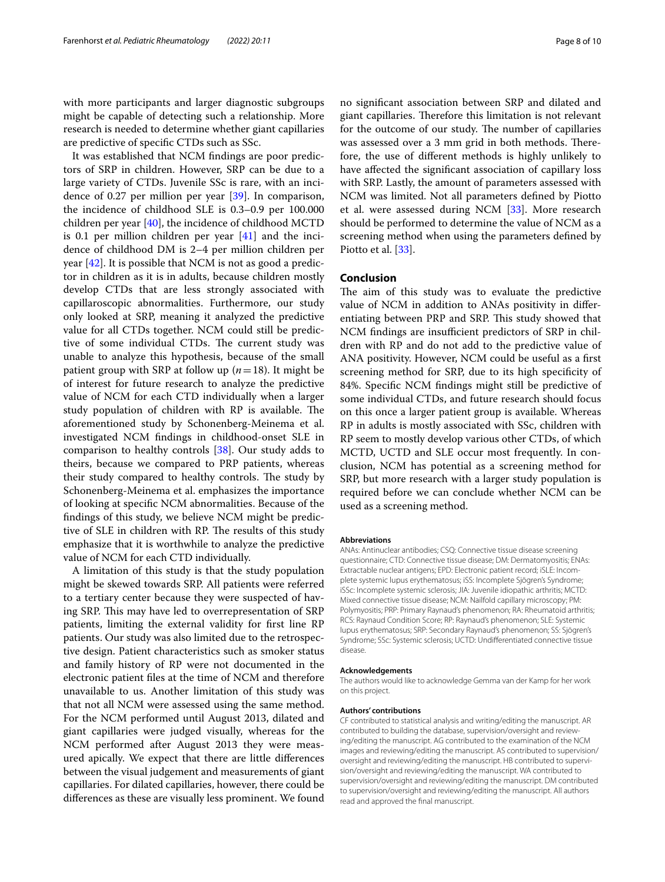with more participants and larger diagnostic subgroups might be capable of detecting such a relationship. More research is needed to determine whether giant capillaries are predictive of specifc CTDs such as SSc.

It was established that NCM fndings are poor predictors of SRP in children. However, SRP can be due to a large variety of CTDs. Juvenile SSc is rare, with an incidence of 0.27 per million per year [\[39](#page-9-5)]. In comparison, the incidence of childhood SLE is 0.3–0.9 per 100.000 children per year [[40\]](#page-9-6), the incidence of childhood MCTD is 0.1 per million children per year [\[41\]](#page-9-7) and the incidence of childhood DM is 2–4 per million children per year [[42](#page-9-8)]. It is possible that NCM is not as good a predictor in children as it is in adults, because children mostly develop CTDs that are less strongly associated with capillaroscopic abnormalities. Furthermore, our study only looked at SRP, meaning it analyzed the predictive value for all CTDs together. NCM could still be predictive of some individual CTDs. The current study was unable to analyze this hypothesis, because of the small patient group with SRP at follow up (*n*=18). It might be of interest for future research to analyze the predictive value of NCM for each CTD individually when a larger study population of children with RP is available. The aforementioned study by Schonenberg-Meinema et al. investigated NCM fndings in childhood-onset SLE in comparison to healthy controls [[38](#page-9-4)]. Our study adds to theirs, because we compared to PRP patients, whereas their study compared to healthy controls. The study by Schonenberg-Meinema et al. emphasizes the importance of looking at specifc NCM abnormalities. Because of the fndings of this study, we believe NCM might be predictive of SLE in children with RP. The results of this study emphasize that it is worthwhile to analyze the predictive value of NCM for each CTD individually.

A limitation of this study is that the study population might be skewed towards SRP. All patients were referred to a tertiary center because they were suspected of having SRP. This may have led to overrepresentation of SRP patients, limiting the external validity for frst line RP patients. Our study was also limited due to the retrospective design. Patient characteristics such as smoker status and family history of RP were not documented in the electronic patient fles at the time of NCM and therefore unavailable to us. Another limitation of this study was that not all NCM were assessed using the same method. For the NCM performed until August 2013, dilated and giant capillaries were judged visually, whereas for the NCM performed after August 2013 they were measured apically. We expect that there are little diferences between the visual judgement and measurements of giant capillaries. For dilated capillaries, however, there could be diferences as these are visually less prominent. We found no signifcant association between SRP and dilated and giant capillaries. Therefore this limitation is not relevant for the outcome of our study. The number of capillaries was assessed over a 3 mm grid in both methods. Therefore, the use of diferent methods is highly unlikely to have afected the signifcant association of capillary loss with SRP. Lastly, the amount of parameters assessed with NCM was limited. Not all parameters defned by Piotto et al. were assessed during NCM [\[33](#page-9-0)]. More research should be performed to determine the value of NCM as a screening method when using the parameters defned by Piotto et al. [[33\]](#page-9-0).

# **Conclusion**

The aim of this study was to evaluate the predictive value of NCM in addition to ANAs positivity in diferentiating between PRP and SRP. This study showed that NCM findings are insufficient predictors of SRP in children with RP and do not add to the predictive value of ANA positivity. However, NCM could be useful as a frst screening method for SRP, due to its high specifcity of 84%. Specifc NCM fndings might still be predictive of some individual CTDs, and future research should focus on this once a larger patient group is available. Whereas RP in adults is mostly associated with SSc, children with RP seem to mostly develop various other CTDs, of which MCTD, UCTD and SLE occur most frequently. In conclusion, NCM has potential as a screening method for SRP, but more research with a larger study population is required before we can conclude whether NCM can be used as a screening method.

#### **Abbreviations**

ANAs: Antinuclear antibodies; CSQ: Connective tissue disease screening questionnaire; CTD: Connective tissue disease; DM: Dermatomyositis; ENAs: Extractable nuclear antigens; EPD: Electronic patient record; iSLE: Incomplete systemic lupus erythematosus; iSS: Incomplete Sjögren's Syndrome; iSSc: Incomplete systemic sclerosis; JIA: Juvenile idiopathic arthritis; MCTD: Mixed connective tissue disease; NCM: Nailfold capillary microscopy; PM: Polymyositis; PRP: Primary Raynaud's phenomenon; RA: Rheumatoid arthritis; RCS: Raynaud Condition Score; RP: Raynaud's phenomenon; SLE: Systemic lupus erythematosus; SRP: Secondary Raynaud's phenomenon; SS: Sjögren's Syndrome; SSc: Systemic sclerosis; UCTD: Undiferentiated connective tissue disease.

# **Acknowledgements**

The authors would like to acknowledge Gemma van der Kamp for her work on this project.

#### **Authors' contributions**

CF contributed to statistical analysis and writing/editing the manuscript. AR contributed to building the database, supervision/oversight and reviewing/editing the manuscript. AG contributed to the examination of the NCM images and reviewing/editing the manuscript. AS contributed to supervision/ oversight and reviewing/editing the manuscript. HB contributed to supervision/oversight and reviewing/editing the manuscript. WA contributed to supervision/oversight and reviewing/editing the manuscript. DM contributed to supervision/oversight and reviewing/editing the manuscript. All authors read and approved the fnal manuscript.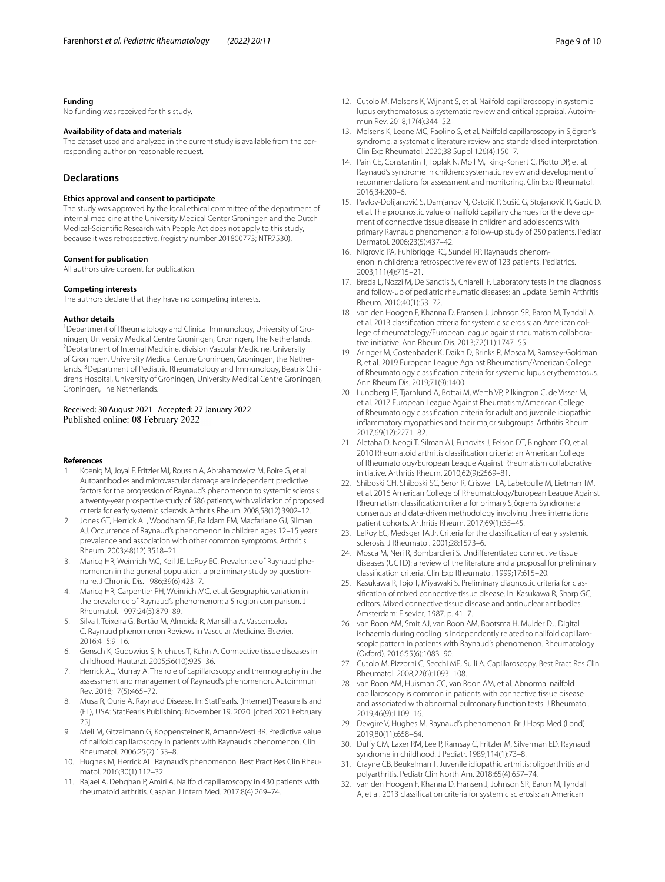# **Funding**

No funding was received for this study.

# **Availability of data and materials**

The dataset used and analyzed in the current study is available from the corresponding author on reasonable request.

# **Declarations**

### **Ethics approval and consent to participate**

The study was approved by the local ethical committee of the department of internal medicine at the University Medical Center Groningen and the Dutch Medical-Scientifc Research with People Act does not apply to this study, because it was retrospective. (registry number 201800773; NTR7530).

#### **Consent for publication**

All authors give consent for publication.

#### **Competing interests**

The authors declare that they have no competing interests.

#### **Author details**

<sup>1</sup> Department of Rheumatology and Clinical Immunology, University of Groningen, University Medical Centre Groningen, Groningen, The Netherlands. <sup>2</sup> Deptartment of Internal Medicine, division Vascular Medicine, University of Groningen, University Medical Centre Groningen, Groningen, the Netherlands. <sup>3</sup> Department of Pediatric Rheumatology and Immunology, Beatrix Children's Hospital, University of Groningen, University Medical Centre Groningen, Groningen, The Netherlands.

# Received: 30 August 2021 Accepted: 27 January 2022 Published online: 08 February 2022

#### **References**

- <span id="page-8-0"></span>1. Koenig M, Joyal F, Fritzler MJ, Roussin A, Abrahamowicz M, Boire G, et al. Autoantibodies and microvascular damage are independent predictive factors for the progression of Raynaud's phenomenon to systemic sclerosis: a twenty-year prospective study of 586 patients, with validation of proposed criteria for early systemic sclerosis. Arthritis Rheum. 2008;58(12):3902–12.
- <span id="page-8-1"></span>2. Jones GT, Herrick AL, Woodham SE, Baildam EM, Macfarlane GJ, Silman AJ. Occurrence of Raynaud's phenomenon in children ages 12–15 years: prevalence and association with other common symptoms. Arthritis Rheum. 2003;48(12):3518–21.
- 3. Maricq HR, Weinrich MC, Keil JE, LeRoy EC. Prevalence of Raynaud phenomenon in the general population. a preliminary study by questionnaire. J Chronic Dis. 1986;39(6):423–7.
- <span id="page-8-2"></span>4. Maricq HR, Carpentier PH, Weinrich MC, et al. Geographic variation in the prevalence of Raynaud's phenomenon: a 5 region comparison. J Rheumatol. 1997;24(5):879–89.
- <span id="page-8-3"></span>5. Silva I, Teixeira G, Bertão M, Almeida R, Mansilha A, Vasconcelos C. Raynaud phenomenon Reviews in Vascular Medicine. Elsevier. 2016;4–5:9–16.
- <span id="page-8-4"></span>6. Gensch K, Gudowius S, Niehues T, Kuhn A. Connective tissue diseases in childhood. Hautarzt. 2005;56(10):925–36.
- <span id="page-8-5"></span>7. Herrick AL, Murray A. The role of capillaroscopy and thermography in the assessment and management of Raynaud's phenomenon. Autoimmun Rev. 2018;17(5):465–72.
- <span id="page-8-6"></span>8. Musa R, Qurie A. Raynaud Disease. In: StatPearls. [Internet] Treasure Island (FL), USA: StatPearls Publishing; November 19, 2020. [cited 2021 February 25].
- <span id="page-8-7"></span>9. Meli M, Gitzelmann G, Koppensteiner R, Amann-Vesti BR. Predictive value of nailfold capillaroscopy in patients with Raynaud's phenomenon. Clin Rheumatol. 2006;25(2):153–8.
- <span id="page-8-8"></span>10. Hughes M, Herrick AL. Raynaud's phenomenon. Best Pract Res Clin Rheumatol. 2016;30(1):112–32.
- <span id="page-8-9"></span>11. Rajaei A, Dehghan P, Amiri A. Nailfold capillaroscopy in 430 patients with rheumatoid arthritis. Caspian J Intern Med. 2017;8(4):269–74.
- <span id="page-8-10"></span>12. Cutolo M, Melsens K, Wijnant S, et al. Nailfold capillaroscopy in systemic lupus erythematosus: a systematic review and critical appraisal. Autoimmun Rev. 2018;17(4):344–52.
- <span id="page-8-11"></span>13. Melsens K, Leone MC, Paolino S, et al. Nailfold capillaroscopy in Sjögren's syndrome: a systematic literature review and standardised interpretation. Clin Exp Rheumatol. 2020;38 Suppl 126(4):150–7.
- <span id="page-8-12"></span>14. Pain CE, Constantin T, Toplak N, Moll M, Iking-Konert C, Piotto DP, et al. Raynaud's syndrome in children: systematic review and development of recommendations for assessment and monitoring. Clin Exp Rheumatol. 2016;34:200–6.
- <span id="page-8-13"></span>15. Pavlov-Dolijanović S, Damjanov N, Ostojić P, Sušić G, Stojanović R, Gacić D, et al. The prognostic value of nailfold capillary changes for the development of connective tissue disease in children and adolescents with primary Raynaud phenomenon: a follow-up study of 250 patients. Pediatr Dermatol. 2006;23(5):437–42.
- <span id="page-8-14"></span>16. Nigrovic PA, Fuhlbrigge RC, Sundel RP. Raynaud's phenomenon in children: a retrospective review of 123 patients. Pediatrics. 2003;111(4):715–21.
- <span id="page-8-15"></span>17. Breda L, Nozzi M, De Sanctis S, Chiarelli F. Laboratory tests in the diagnosis and follow-up of pediatric rheumatic diseases: an update. Semin Arthritis Rheum. 2010;40(1):53–72.
- <span id="page-8-16"></span>18. van den Hoogen F, Khanna D, Fransen J, Johnson SR, Baron M, Tyndall A, et al. 2013 classifcation criteria for systemic sclerosis: an American college of rheumatology/European league against rheumatism collaborative initiative. Ann Rheum Dis. 2013;72(11):1747–55.
- <span id="page-8-18"></span>19. Aringer M, Costenbader K, Daikh D, Brinks R, Mosca M, Ramsey-Goldman R, et al. 2019 European League Against Rheumatism/American College of Rheumatology classifcation criteria for systemic lupus erythematosus. Ann Rheum Dis. 2019;71(9):1400.
- <span id="page-8-19"></span>20. Lundberg IE, Tjärnlund A, Bottai M, Werth VP, Pilkington C, de Visser M, et al. 2017 European League Against Rheumatism/American College of Rheumatology classifcation criteria for adult and juvenile idiopathic infammatory myopathies and their major subgroups. Arthritis Rheum. 2017;69(12):2271–82.
- <span id="page-8-20"></span>21. Aletaha D, Neogi T, Silman AJ, Funovits J, Felson DT, Bingham CO, et al. 2010 Rheumatoid arthritis classifcation criteria: an American College of Rheumatology/European League Against Rheumatism collaborative initiative. Arthritis Rheum. 2010;62(9):2569–81.
- <span id="page-8-21"></span>22. Shiboski CH, Shiboski SC, Seror R, Criswell LA, Labetoulle M, Lietman TM, et al. 2016 American College of Rheumatology/European League Against Rheumatism classifcation criteria for primary Sjögren's Syndrome: a consensus and data-driven methodology involving three international patient cohorts. Arthritis Rheum. 2017;69(1):35–45.
- <span id="page-8-17"></span>23. LeRoy EC, Medsger TA Jr. Criteria for the classification of early systemic sclerosis. J Rheumatol. 2001;28:1573–6.
- <span id="page-8-22"></span>24. Mosca M, Neri R, Bombardieri S. Undiferentiated connective tissue diseases (UCTD): a review of the literature and a proposal for preliminary classifcation criteria. Clin Exp Rheumatol. 1999;17:615–20.
- <span id="page-8-23"></span>25. Kasukawa R, Tojo T, Miyawaki S. Preliminary diagnostic criteria for classifcation of mixed connective tissue disease. In: Kasukawa R, Sharp GC, editors. Mixed connective tissue disease and antinuclear antibodies. Amsterdam: Elsevier; 1987. p. 41–7.
- <span id="page-8-24"></span>26. van Roon AM, Smit AJ, van Roon AM, Bootsma H, Mulder DJ. Digital ischaemia during cooling is independently related to nailfold capillaroscopic pattern in patients with Raynaud's phenomenon. Rheumatology (Oxford). 2016;55(6):1083–90.
- <span id="page-8-25"></span>27. Cutolo M, Pizzorni C, Secchi ME, Sulli A. Capillaroscopy. Best Pract Res Clin Rheumatol. 2008;22(6):1093–108.
- <span id="page-8-26"></span>28. van Roon AM, Huisman CC, van Roon AM, et al. Abnormal nailfold capillaroscopy is common in patients with connective tissue disease and associated with abnormal pulmonary function tests. J Rheumatol. 2019;46(9):1109–16.
- <span id="page-8-27"></span>29. Devgire V, Hughes M. Raynaud's phenomenon. Br J Hosp Med (Lond). 2019;80(11):658–64.
- <span id="page-8-28"></span>30. Dufy CM, Laxer RM, Lee P, Ramsay C, Fritzler M, Silverman ED. Raynaud syndrome in childhood. J Pediatr. 1989;114(1):73–8.
- <span id="page-8-29"></span>31. Crayne CB, Beukelman T. Juvenile idiopathic arthritis: oligoarthritis and polyarthritis. Pediatr Clin North Am. 2018;65(4):657–74.
- <span id="page-8-30"></span>32. van den Hoogen F, Khanna D, Fransen J, Johnson SR, Baron M, Tyndall A, et al. 2013 classifcation criteria for systemic sclerosis: an American